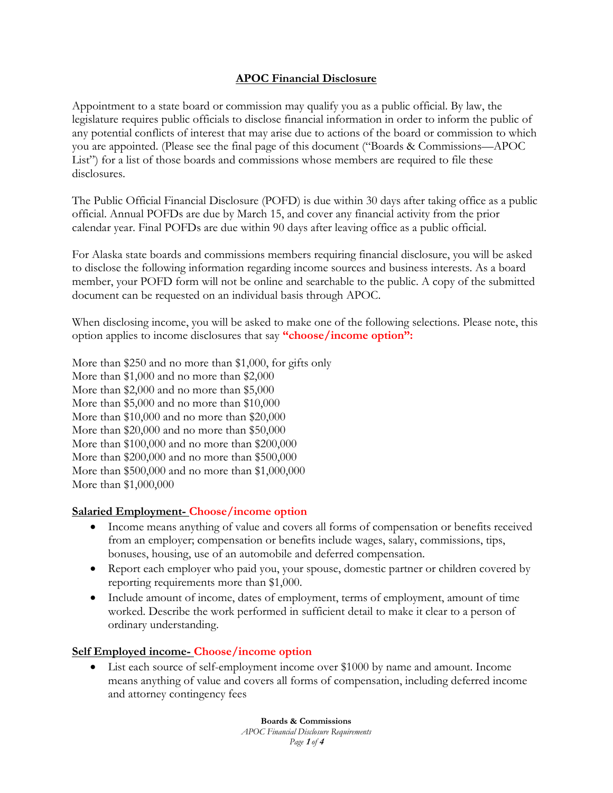### **APOC Financial Disclosure**

Appointment to a state board or commission may qualify you as a public official. By law, the legislature requires public officials to disclose financial information in order to inform the public of any potential conflicts of interest that may arise due to actions of the board or commission to which you are appointed. (Please see the final page of this document ("Boards & Commissions—APOC List") for a list of those boards and commissions whose members are required to file these disclosures.

The Public Official Financial Disclosure (POFD) is due within 30 days after taking office as a public official. Annual POFDs are due by March 15, and cover any financial activity from the prior calendar year. Final POFDs are due within 90 days after leaving office as a public official.

For Alaska state boards and commissions members requiring financial disclosure, you will be asked to disclose the following information regarding income sources and business interests. As a board member, your POFD form will not be online and searchable to the public. A copy of the submitted document can be requested on an individual basis through APOC.

When disclosing income, you will be asked to make one of the following selections. Please note, this option applies to income disclosures that say **"choose/income option":**

More than \$250 and no more than \$1,000, for gifts only More than \$1,000 and no more than \$2,000 More than \$2,000 and no more than \$5,000 More than \$5,000 and no more than \$10,000 More than \$10,000 and no more than \$20,000 More than \$20,000 and no more than \$50,000 More than \$100,000 and no more than \$200,000 More than \$200,000 and no more than \$500,000 More than \$500,000 and no more than \$1,000,000 More than \$1,000,000

#### **Salaried Employment- Choose/income option**

- Income means anything of value and covers all forms of compensation or benefits received from an employer; compensation or benefits include wages, salary, commissions, tips, bonuses, housing, use of an automobile and deferred compensation.
- Report each employer who paid you, your spouse, domestic partner or children covered by reporting requirements more than \$1,000.
- Include amount of income, dates of employment, terms of employment, amount of time worked. Describe the work performed in sufficient detail to make it clear to a person of ordinary understanding.

#### **Self Employed income- Choose/income option**

 List each source of self-employment income over \$1000 by name and amount. Income means anything of value and covers all forms of compensation, including deferred income and attorney contingency fees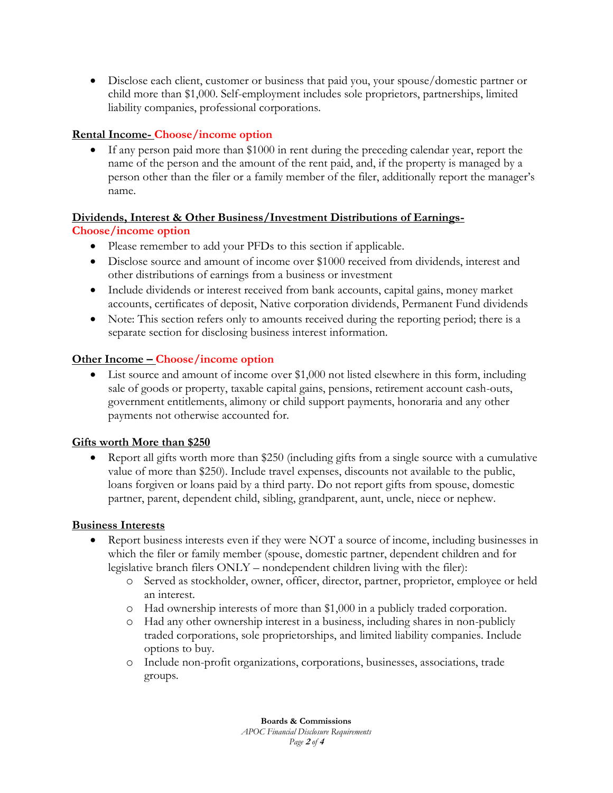Disclose each client, customer or business that paid you, your spouse/domestic partner or child more than \$1,000. Self-employment includes sole proprietors, partnerships, limited liability companies, professional corporations.

# **Rental Income- Choose/income option**

 If any person paid more than \$1000 in rent during the preceding calendar year, report the name of the person and the amount of the rent paid, and, if the property is managed by a person other than the filer or a family member of the filer, additionally report the manager's name.

# **Dividends, Interest & Other Business/Investment Distributions of Earnings-Choose/income option**

- Please remember to add your PFDs to this section if applicable.
- Disclose source and amount of income over \$1000 received from dividends, interest and other distributions of earnings from a business or investment
- Include dividends or interest received from bank accounts, capital gains, money market accounts, certificates of deposit, Native corporation dividends, Permanent Fund dividends
- Note: This section refers only to amounts received during the reporting period; there is a separate section for disclosing business interest information.

# **Other Income – Choose/income option**

 List source and amount of income over \$1,000 not listed elsewhere in this form, including sale of goods or property, taxable capital gains, pensions, retirement account cash-outs, government entitlements, alimony or child support payments, honoraria and any other payments not otherwise accounted for.

## **Gifts worth More than \$250**

 Report all gifts worth more than \$250 (including gifts from a single source with a cumulative value of more than \$250). Include travel expenses, discounts not available to the public, loans forgiven or loans paid by a third party. Do not report gifts from spouse, domestic partner, parent, dependent child, sibling, grandparent, aunt, uncle, niece or nephew.

## **Business Interests**

- Report business interests even if they were NOT a source of income, including businesses in which the filer or family member (spouse, domestic partner, dependent children and for legislative branch filers ONLY – nondependent children living with the filer):
	- o Served as stockholder, owner, officer, director, partner, proprietor, employee or held an interest.
	- o Had ownership interests of more than \$1,000 in a publicly traded corporation.
	- o Had any other ownership interest in a business, including shares in non-publicly traded corporations, sole proprietorships, and limited liability companies. Include options to buy.
	- o Include non-profit organizations, corporations, businesses, associations, trade groups.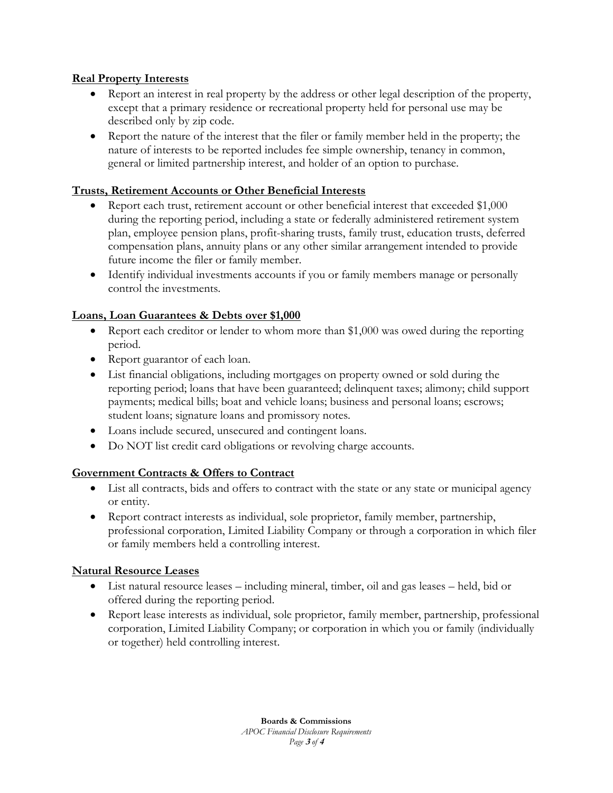## **Real Property Interests**

- Report an interest in real property by the address or other legal description of the property, except that a primary residence or recreational property held for personal use may be described only by zip code.
- Report the nature of the interest that the filer or family member held in the property; the nature of interests to be reported includes fee simple ownership, tenancy in common, general or limited partnership interest, and holder of an option to purchase.

### **Trusts, Retirement Accounts or Other Beneficial Interests**

- Report each trust, retirement account or other beneficial interest that exceeded \$1,000 during the reporting period, including a state or federally administered retirement system plan, employee pension plans, profit-sharing trusts, family trust, education trusts, deferred compensation plans, annuity plans or any other similar arrangement intended to provide future income the filer or family member.
- Identify individual investments accounts if you or family members manage or personally control the investments.

### **Loans, Loan Guarantees & Debts over \$1,000**

- Report each creditor or lender to whom more than \$1,000 was owed during the reporting period.
- Report guarantor of each loan.
- List financial obligations, including mortgages on property owned or sold during the reporting period; loans that have been guaranteed; delinquent taxes; alimony; child support payments; medical bills; boat and vehicle loans; business and personal loans; escrows; student loans; signature loans and promissory notes.
- Loans include secured, unsecured and contingent loans.
- Do NOT list credit card obligations or revolving charge accounts.

#### **Government Contracts & Offers to Contract**

- List all contracts, bids and offers to contract with the state or any state or municipal agency or entity.
- Report contract interests as individual, sole proprietor, family member, partnership, professional corporation, Limited Liability Company or through a corporation in which filer or family members held a controlling interest.

#### **Natural Resource Leases**

- List natural resource leases including mineral, timber, oil and gas leases held, bid or offered during the reporting period.
- Report lease interests as individual, sole proprietor, family member, partnership, professional corporation, Limited Liability Company; or corporation in which you or family (individually or together) held controlling interest.